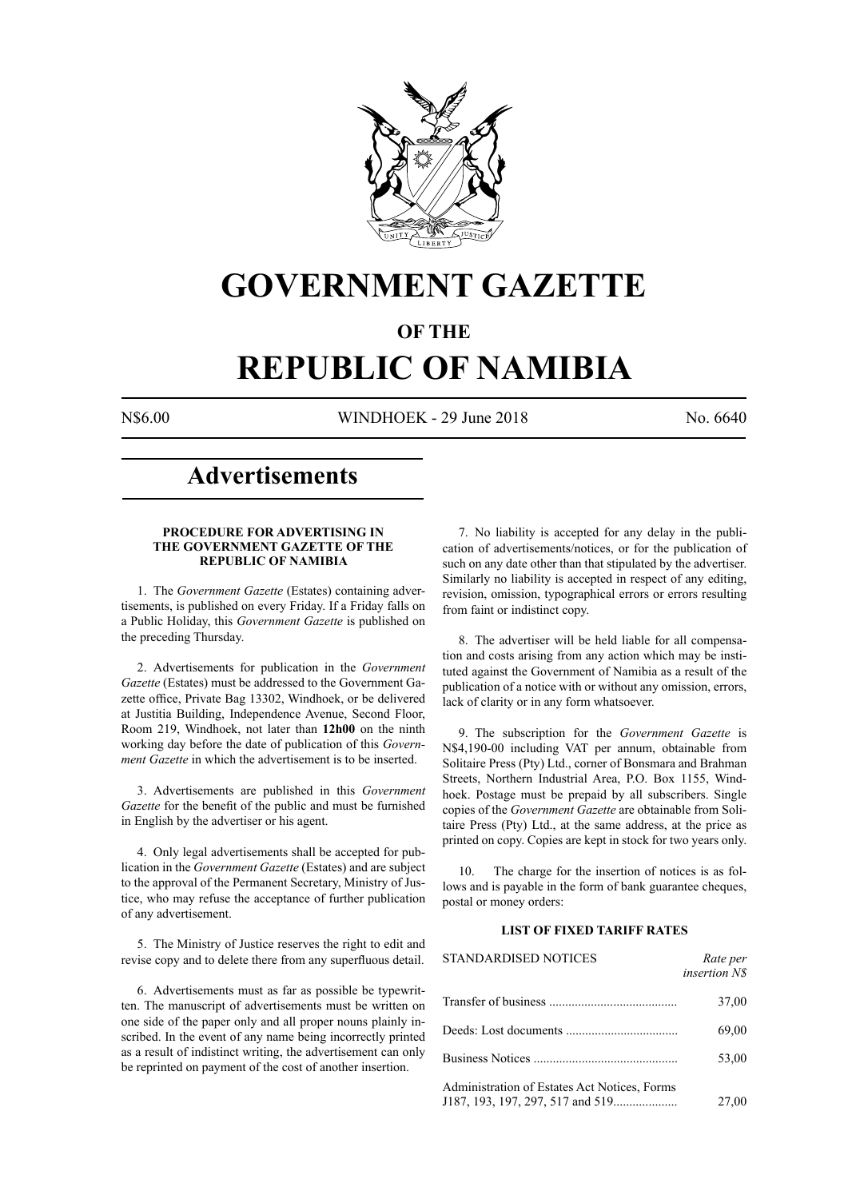

## **GOVERNMENT GAZETTE**

### **OF THE**

# **REPUBLIC OF NAMIBIA**

N\$6.00 WINDHOEK - 29 June 2018 No. 6640

### **Advertisements**

#### **PROCEDURE FOR ADVERTISING IN THE GOVERNMENT GAZETTE OF THE REPUBLIC OF NAMIBIA**

1. The *Government Gazette* (Estates) containing advertisements, is published on every Friday. If a Friday falls on a Public Holiday, this *Government Gazette* is published on the preceding Thursday.

2. Advertisements for publication in the *Government Gazette* (Estates) must be addressed to the Government Gazette office, Private Bag 13302, Windhoek, or be delivered at Justitia Building, Independence Avenue, Second Floor, Room 219, Windhoek, not later than **12h00** on the ninth working day before the date of publication of this *Government Gazette* in which the advertisement is to be inserted.

3. Advertisements are published in this *Government Gazette* for the benefit of the public and must be furnished in English by the advertiser or his agent.

4. Only legal advertisements shall be accepted for publication in the *Government Gazette* (Estates) and are subject to the approval of the Permanent Secretary, Ministry of Justice, who may refuse the acceptance of further publication of any advertisement.

5. The Ministry of Justice reserves the right to edit and revise copy and to delete there from any superfluous detail.

6. Advertisements must as far as possible be typewritten. The manuscript of advertisements must be written on one side of the paper only and all proper nouns plainly inscribed. In the event of any name being incorrectly printed as a result of indistinct writing, the advertisement can only be reprinted on payment of the cost of another insertion.

7. No liability is accepted for any delay in the publication of advertisements/notices, or for the publication of such on any date other than that stipulated by the advertiser. Similarly no liability is accepted in respect of any editing, revision, omission, typographical errors or errors resulting from faint or indistinct copy.

8. The advertiser will be held liable for all compensation and costs arising from any action which may be instituted against the Government of Namibia as a result of the publication of a notice with or without any omission, errors, lack of clarity or in any form whatsoever.

9. The subscription for the *Government Gazette* is N\$4,190-00 including VAT per annum, obtainable from Solitaire Press (Pty) Ltd., corner of Bonsmara and Brahman Streets, Northern Industrial Area, P.O. Box 1155, Windhoek. Postage must be prepaid by all subscribers. Single copies of the *Government Gazette* are obtainable from Solitaire Press (Pty) Ltd., at the same address, at the price as printed on copy. Copies are kept in stock for two years only.

10. The charge for the insertion of notices is as follows and is payable in the form of bank guarantee cheques, postal or money orders:

#### **LIST OF FIXED TARIFF RATES**

| <b>STANDARDISED NOTICES</b>                  | Rate per<br><i>insertion NS</i> |
|----------------------------------------------|---------------------------------|
|                                              | 37,00                           |
|                                              | 69,00                           |
|                                              | 53,00                           |
| Administration of Estates Act Notices, Forms | 27,00                           |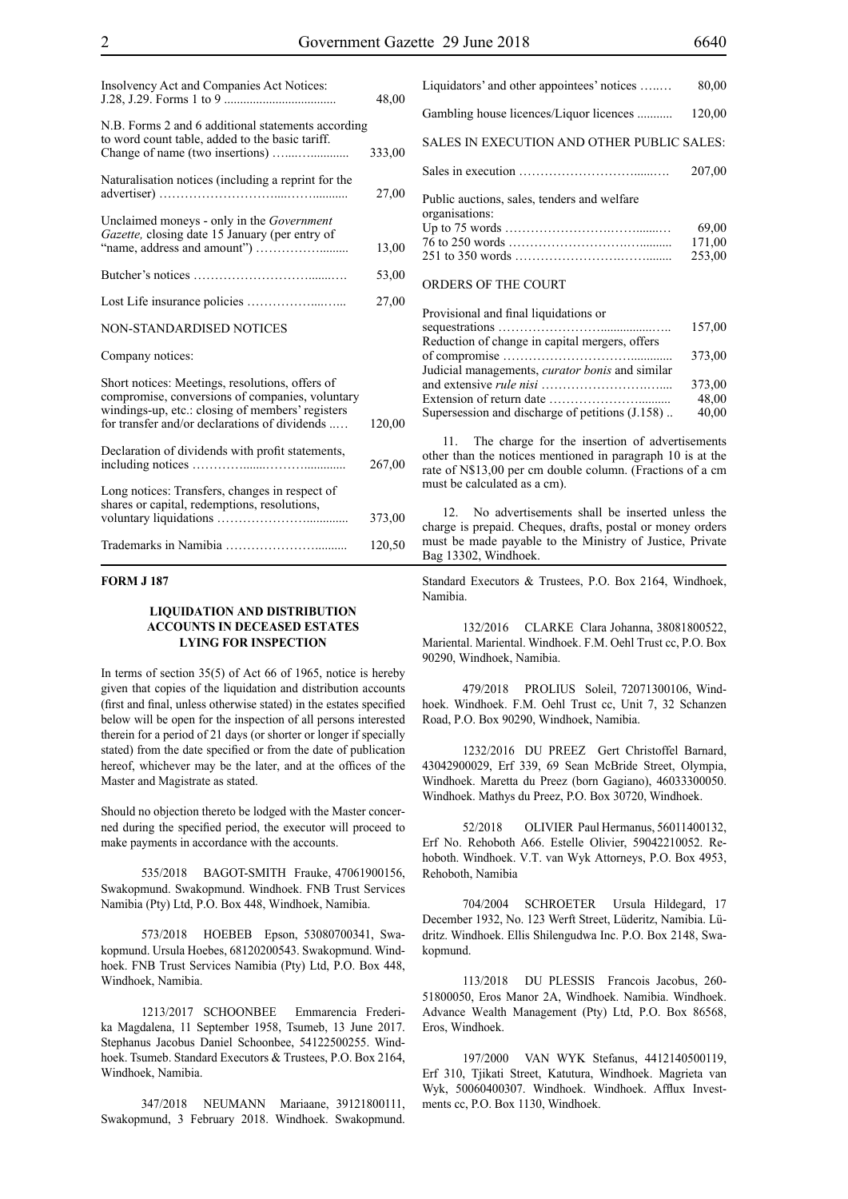| Insolvency Act and Companies Act Notices:                                                                                                                                                               | 48,00  |
|---------------------------------------------------------------------------------------------------------------------------------------------------------------------------------------------------------|--------|
| N.B. Forms 2 and 6 additional statements according<br>to word count table, added to the basic tariff.                                                                                                   | 333,00 |
| Naturalisation notices (including a reprint for the                                                                                                                                                     | 27,00  |
| Unclaimed moneys - only in the <i>Government</i><br>Gazette, closing date 15 January (per entry of                                                                                                      | 13,00  |
|                                                                                                                                                                                                         | 53,00  |
|                                                                                                                                                                                                         | 27,00  |
| NON-STANDARDISED NOTICES                                                                                                                                                                                |        |
| Company notices:                                                                                                                                                                                        |        |
| Short notices: Meetings, resolutions, offers of<br>compromise, conversions of companies, voluntary<br>windings-up, etc.: closing of members' registers<br>for transfer and/or declarations of dividends | 120,00 |
| Declaration of dividends with profit statements,                                                                                                                                                        | 267,00 |
| Long notices: Transfers, changes in respect of<br>shares or capital, redemptions, resolutions,                                                                                                          | 373,00 |
|                                                                                                                                                                                                         | 120,50 |

#### **FORM J 187**

#### **LIQUIDATION AND DISTRIBUTION ACCOUNTS IN DECEASED ESTATES LYING FOR INSPECTION**

In terms of section 35(5) of Act 66 of 1965, notice is hereby given that copies of the liquidation and distribution accounts (first and final, unless otherwise stated) in the estates specified below will be open for the inspection of all persons interested therein for a period of 21 days (or shorter or longer if specially stated) from the date specified or from the date of publication hereof, whichever may be the later, and at the offices of the Master and Magistrate as stated.

Should no objection thereto be lodged with the Master concerned during the specified period, the executor will proceed to make payments in accordance with the accounts.

535/2018 BAGOT-SMITH Frauke, 47061900156, Swakopmund. Swakopmund. Windhoek. FNB Trust Services Namibia (Pty) Ltd, P.O. Box 448, Windhoek, Namibia.

573/2018 HOEBEB Epson, 53080700341, Swakopmund. Ursula Hoebes, 68120200543. Swakopmund. Windhoek. FNB Trust Services Namibia (Pty) Ltd, P.O. Box 448, Windhoek, Namibia.

1213/2017 SCHOONBEE Emmarencia Frederika Magdalena, 11 September 1958, Tsumeb, 13 June 2017. Stephanus Jacobus Daniel Schoonbee, 54122500255. Windhoek. Tsumeb. Standard Executors & Trustees, P.O. Box 2164, Windhoek, Namibia.

347/2018 NEUMANN Mariaane, 39121800111, Swakopmund, 3 February 2018. Windhoek. Swakopmund. Liquidators' and other appointees' notices …..… 80,00 Gambling house licences/Liquor licences ........... 120,00 SALES IN EXECUTION AND OTHER PUBLIC SALES: Sales in execution ………………………......…. 207,00 Public auctions, sales, tenders and welfare organisations: Up to 75 words …………………….…….......… 69,00 76 to 250 words ……………………….….......... 171,00 251 to 350 words …………………….……........ 253,00

#### ORDERS OF THE COURT

| Provisional and final liquidations or           |        |
|-------------------------------------------------|--------|
|                                                 | 157,00 |
| Reduction of change in capital mergers, offers  |        |
|                                                 | 373,00 |
| Judicial managements, curator bonis and similar |        |
|                                                 | 373,00 |
|                                                 | 48,00  |
| Supersession and discharge of petitions (J.158) | 40,00  |
|                                                 |        |

11. The charge for the insertion of advertisements other than the notices mentioned in paragraph 10 is at the rate of N\$13,00 per cm double column. (Fractions of a cm must be calculated as a cm).

12. No advertisements shall be inserted unless the charge is prepaid. Cheques, drafts, postal or money orders must be made payable to the Ministry of Justice, Private Bag 13302, Windhoek.

Standard Executors & Trustees, P.O. Box 2164, Windhoek, Namibia.

132/2016 CLARKE Clara Johanna, 38081800522, Mariental. Mariental. Windhoek. F.M. Oehl Trust cc, P.O. Box 90290, Windhoek, Namibia.

479/2018 PROLIUS Soleil, 72071300106, Windhoek. Windhoek. F.M. Oehl Trust cc, Unit 7, 32 Schanzen Road, P.O. Box 90290, Windhoek, Namibia.

1232/2016 DU PREEZ Gert Christoffel Barnard, 43042900029, Erf 339, 69 Sean McBride Street, Olympia, Windhoek. Maretta du Preez (born Gagiano), 46033300050. Windhoek. Mathys du Preez, P.O. Box 30720, Windhoek.

52/2018 OLIVIER Paul Hermanus, 56011400132, Erf No. Rehoboth A66. Estelle Olivier, 59042210052. Rehoboth. Windhoek. V.T. van Wyk Attorneys, P.O. Box 4953, Rehoboth, Namibia

704/2004 SCHROETER Ursula Hildegard, 17 December 1932, No. 123 Werft Street, Lüderitz, Namibia. Lüdritz. Windhoek. Ellis Shilengudwa Inc. P.O. Box 2148, Swakopmund.

113/2018 DU PLESSIS Francois Jacobus, 260- 51800050, Eros Manor 2A, Windhoek. Namibia. Windhoek. Advance Wealth Management (Pty) Ltd, P.O. Box 86568, Eros, Windhoek.

197/2000 VAN WYK Stefanus, 4412140500119, Erf 310, Tjikati Street, Katutura, Windhoek. Magrieta van Wyk, 50060400307. Windhoek. Windhoek. Afflux Investments cc, P.O. Box 1130, Windhoek.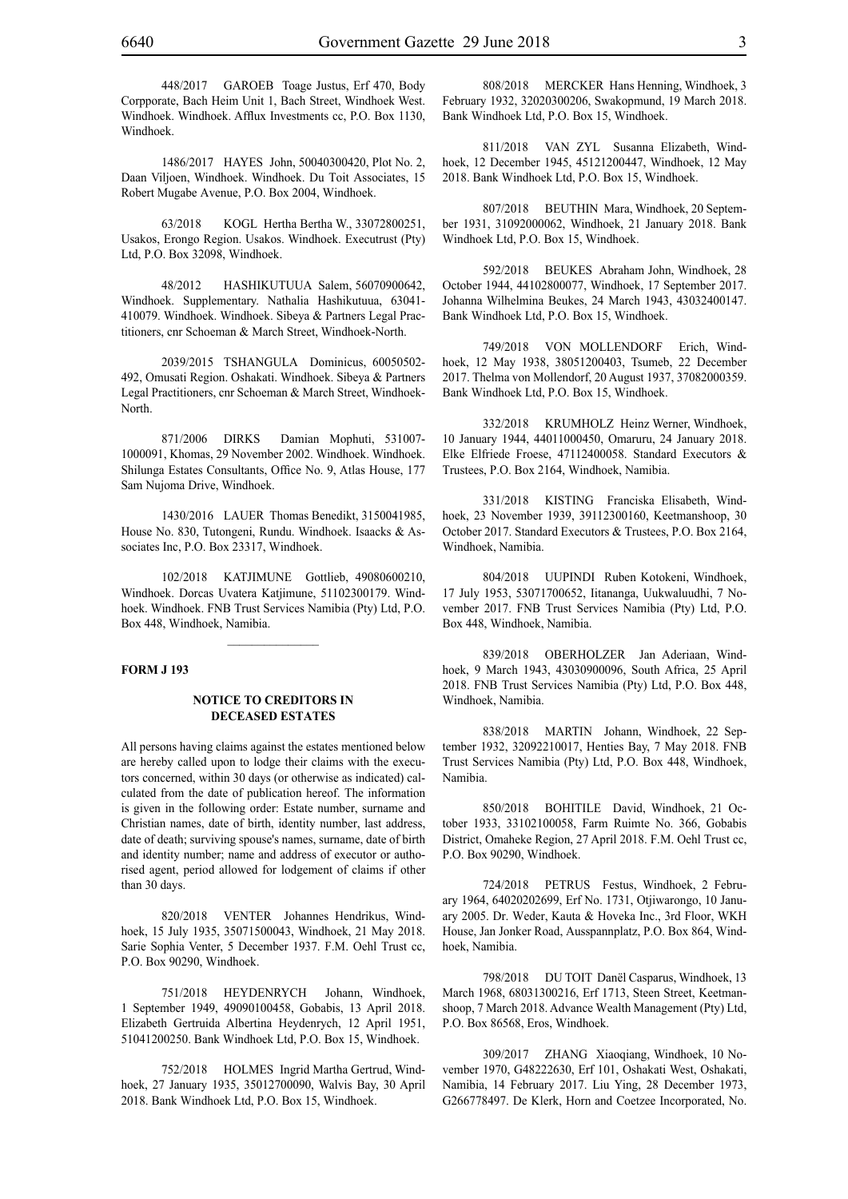448/2017 GAROEB Toage Justus, Erf 470, Body Corpporate, Bach Heim Unit 1, Bach Street, Windhoek West. Windhoek. Windhoek. Afflux Investments cc, P.O. Box 1130, Windhoek.

1486/2017 hayes John, 50040300420, Plot No. 2, Daan Viljoen, Windhoek. Windhoek. Du Toit Associates, 15 Robert Mugabe Avenue, P.O. Box 2004, Windhoek.

63/2018 KOGL Hertha Bertha W., 33072800251, Usakos, Erongo Region. Usakos. Windhoek. Executrust (Pty) Ltd, P.O. Box 32098, Windhoek.

48/2012 HASHIKUTUUA Salem, 56070900642, Windhoek. Supplementary. Nathalia Hashikutuua, 63041- 410079. Windhoek. Windhoek. Sibeya & Partners Legal Practitioners, cnr Schoeman & March Street, Windhoek-North.

2039/2015 TSHANGULA Dominicus, 60050502- 492, Omusati Region. Oshakati. Windhoek. Sibeya & Partners Legal Practitioners, cnr Schoeman & March Street, Windhoek-North.

871/2006 DIRKS Damian Mophuti, 531007- 1000091, Khomas, 29 November 2002. Windhoek. Windhoek. Shilunga Estates Consultants, Office No. 9, Atlas House, 177 Sam Nujoma Drive, Windhoek.

1430/2016 LAUER Thomas Benedikt, 3150041985, House No. 830, Tutongeni, Rundu. Windhoek. Isaacks & Associates Inc, P.O. Box 23317, Windhoek.

102/2018 KATJIMUNE Gottlieb, 49080600210, Windhoek. Dorcas Uvatera Katjimune, 51102300179. Windhoek. Windhoek. FNB Trust Services Namibia (Pty) Ltd, P.O. Box 448, Windhoek, Namibia.

#### **FORM J 193**

#### **NOTICE TO CREDITORS IN DECEASED ESTATES**

All persons having claims against the estates mentioned below are hereby called upon to lodge their claims with the executors concerned, within 30 days (or otherwise as indicated) calculated from the date of publication hereof. The information is given in the following order: Estate number, surname and Christian names, date of birth, identity number, last address, date of death; surviving spouse's names, surname, date of birth and identity number; name and address of executor or authorised agent, period allowed for lodgement of claims if other than 30 days.

820/2018 VENTER Johannes Hendrikus, Windhoek, 15 July 1935, 35071500043, Windhoek, 21 May 2018. Sarie Sophia Venter, 5 December 1937. F.M. Oehl Trust cc, P.O. Box 90290, Windhoek.

751/2018 HEYDENRYCH Johann, Windhoek, 1 September 1949, 49090100458, Gobabis, 13 April 2018. Elizabeth Gertruida Albertina Heydenrych, 12 April 1951, 51041200250. Bank Windhoek Ltd, P.O. Box 15, Windhoek.

752/2018 HOLMES Ingrid Martha Gertrud, Windhoek, 27 January 1935, 35012700090, Walvis Bay, 30 April 2018. Bank Windhoek Ltd, P.O. Box 15, Windhoek.

808/2018 MERCKER Hans Henning, Windhoek, 3 February 1932, 32020300206, Swakopmund, 19 March 2018. Bank Windhoek Ltd, P.O. Box 15, Windhoek.

811/2018 VAN ZYL Susanna Elizabeth, Windhoek, 12 December 1945, 45121200447, Windhoek, 12 May 2018. Bank Windhoek Ltd, P.O. Box 15, Windhoek.

807/2018 BEUTHIN Mara, Windhoek, 20 September 1931, 31092000062, Windhoek, 21 January 2018. Bank Windhoek Ltd, P.O. Box 15, Windhoek.

592/2018 BEUKES Abraham John, Windhoek, 28 October 1944, 44102800077, Windhoek, 17 September 2017. Johanna Wilhelmina Beukes, 24 March 1943, 43032400147. Bank Windhoek Ltd, P.O. Box 15, Windhoek.

749/2018 VON MOLLENDORF Erich, Windhoek, 12 May 1938, 38051200403, Tsumeb, 22 December 2017. Thelma von Mollendorf, 20 August 1937, 37082000359. Bank Windhoek Ltd, P.O. Box 15, Windhoek.

332/2018 KRUMHOLZ Heinz Werner, Windhoek, 10 January 1944, 44011000450, Omaruru, 24 January 2018. Elke Elfriede Froese, 47112400058. Standard Executors & Trustees, P.O. Box 2164, Windhoek, Namibia.

331/2018 KISTING Franciska Elisabeth, Windhoek, 23 November 1939, 39112300160, Keetmanshoop, 30 October 2017. Standard Executors & Trustees, P.O. Box 2164, Windhoek, Namibia.

804/2018 UUPINDI Ruben Kotokeni, Windhoek, 17 July 1953, 53071700652, Iitananga, Uukwaluudhi, 7 November 2017. FNB Trust Services Namibia (Pty) Ltd, P.O. Box 448, Windhoek, Namibia.

839/2018 OBERHOLZER Jan Aderiaan, Windhoek, 9 March 1943, 43030900096, South Africa, 25 April 2018. FNB Trust Services Namibia (Pty) Ltd, P.O. Box 448, Windhoek, Namibia.

838/2018 MARTIN Johann, Windhoek, 22 September 1932, 32092210017, Henties Bay, 7 May 2018. FNB Trust Services Namibia (Pty) Ltd, P.O. Box 448, Windhoek, Namibia.

850/2018 BOHITILE David, Windhoek, 21 October 1933, 33102100058, Farm Ruimte No. 366, Gobabis District, Omaheke Region, 27 April 2018. F.M. Oehl Trust cc, P.O. Box 90290, Windhoek.

724/2018 PETRUS Festus, Windhoek, 2 February 1964, 64020202699, Erf No. 1731, Otjiwarongo, 10 January 2005. Dr. Weder, Kauta & Hoveka Inc., 3rd Floor, WKH House, Jan Jonker Road, Ausspannplatz, P.O. Box 864, Windhoek, Namibia.

798/2018 DU TOIT Danël Casparus, Windhoek, 13 March 1968, 68031300216, Erf 1713, Steen Street, Keetmanshoop, 7 March 2018. Advance Wealth Management (Pty) Ltd, P.O. Box 86568, Eros, Windhoek.

309/2017 ZHANG Xiaoqiang, Windhoek, 10 November 1970, G48222630, Erf 101, Oshakati West, Oshakati, Namibia, 14 February 2017. Liu Ying, 28 December 1973, G266778497. De Klerk, Horn and Coetzee Incorporated, No.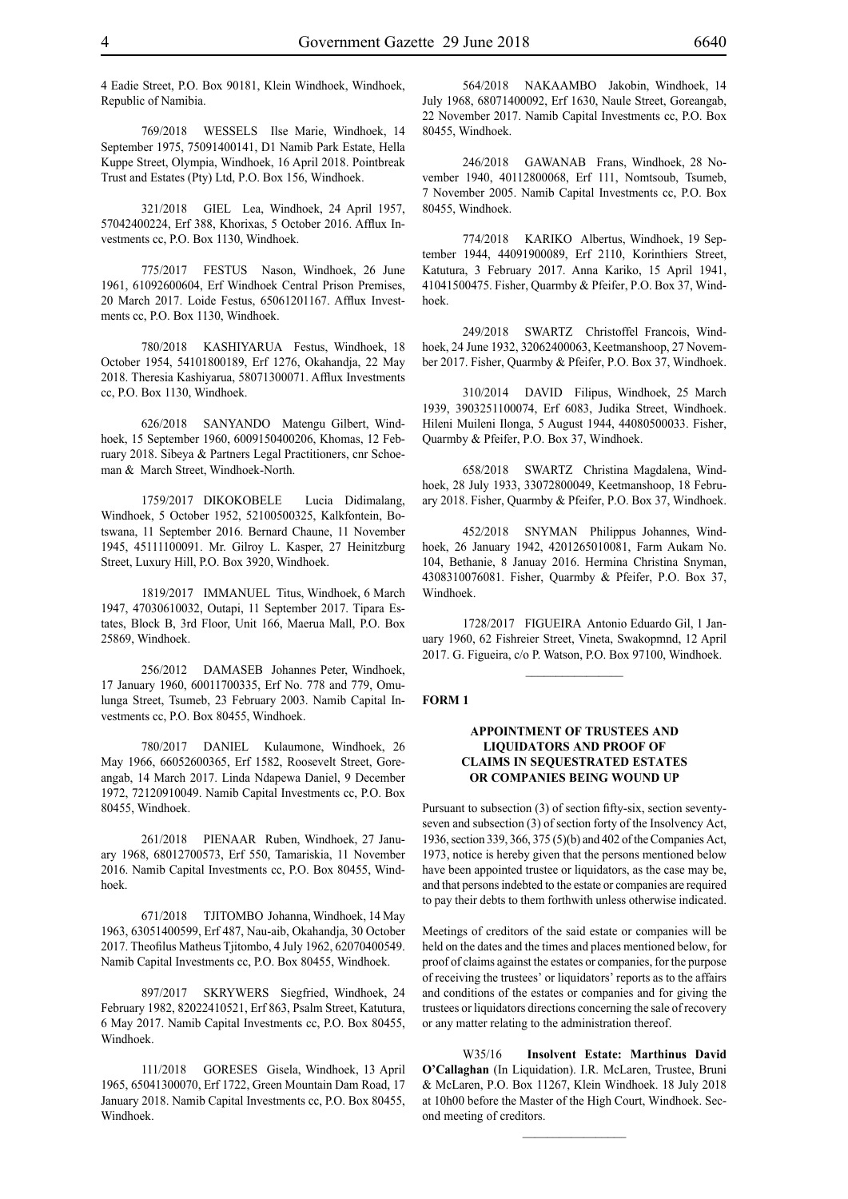4 Eadie Street, P.O. Box 90181, Klein Windhoek, Windhoek, Republic of Namibia.

769/2018 WESSELS Ilse Marie, Windhoek, 14 September 1975, 75091400141, D1 Namib Park Estate, Hella Kuppe Street, Olympia, Windhoek, 16 April 2018. Pointbreak Trust and Estates (Pty) Ltd, P.O. Box 156, Windhoek.

321/2018 GIEL Lea, Windhoek, 24 April 1957, 57042400224, Erf 388, Khorixas, 5 October 2016. Afflux Investments cc, P.O. Box 1130, Windhoek.

775/2017 FESTUS Nason, Windhoek, 26 June 1961, 61092600604, Erf Windhoek Central Prison Premises, 20 March 2017. Loide Festus, 65061201167. Afflux Investments cc, P.O. Box 1130, Windhoek.

780/2018 KASHIYARUA Festus, Windhoek, 18 October 1954, 54101800189, Erf 1276, Okahandja, 22 May 2018. Theresia Kashiyarua, 58071300071. Afflux Investments cc, P.O. Box 1130, Windhoek.

626/2018 SANYANDO Matengu Gilbert, Windhoek, 15 September 1960, 6009150400206, Khomas, 12 February 2018. Sibeya & Partners Legal Practitioners, cnr Schoeman & March Street, Windhoek-North.

1759/2017 DIKOKOBELE Lucia Didimalang, Windhoek, 5 October 1952, 52100500325, Kalkfontein, Botswana, 11 September 2016. Bernard Chaune, 11 November 1945, 45111100091. Mr. Gilroy L. Kasper, 27 Heinitzburg Street, Luxury Hill, P.O. Box 3920, Windhoek.

1819/2017 IMMANUEL Titus, Windhoek, 6 March 1947, 47030610032, Outapi, 11 September 2017. Tipara Estates, Block B, 3rd Floor, Unit 166, Maerua Mall, P.O. Box 25869, Windhoek.

256/2012 DAMASEB Johannes Peter, Windhoek, 17 January 1960, 60011700335, Erf No. 778 and 779, Omulunga Street, Tsumeb, 23 February 2003. Namib Capital Investments cc, P.O. Box 80455, Windhoek.

780/2017 DANIEL Kulaumone, Windhoek, 26 May 1966, 66052600365, Erf 1582, Roosevelt Street, Goreangab, 14 March 2017. Linda Ndapewa Daniel, 9 December 1972, 72120910049. Namib Capital Investments cc, P.O. Box 80455, Windhoek.

261/2018 PIENAAR Ruben, Windhoek, 27 January 1968, 68012700573, Erf 550, Tamariskia, 11 November 2016. Namib Capital Investments cc, P.O. Box 80455, Windhoek.

671/2018 TJITOMBO Johanna, Windhoek, 14 May 1963, 63051400599, Erf 487, Nau-aib, Okahandja, 30 October 2017. Theofilus Matheus Tjitombo, 4 July 1962, 62070400549. Namib Capital Investments cc, P.O. Box 80455, Windhoek.

897/2017 SKRYWERS Siegfried, Windhoek, 24 February 1982, 82022410521, Erf 863, Psalm Street, Katutura, 6 May 2017. Namib Capital Investments cc, P.O. Box 80455, Windhoek.

111/2018 GORESES Gisela, Windhoek, 13 April 1965, 65041300070, Erf 1722, Green Mountain Dam Road, 17 January 2018. Namib Capital Investments cc, P.O. Box 80455, Windhoek.

564/2018 NAKAAMBO Jakobin, Windhoek, 14 July 1968, 68071400092, Erf 1630, Naule Street, Goreangab, 22 November 2017. Namib Capital Investments cc, P.O. Box 80455, Windhoek.

246/2018 GAWANAB Frans, Windhoek, 28 November 1940, 40112800068, Erf 111, Nomtsoub, Tsumeb, 7 November 2005. Namib Capital Investments cc, P.O. Box 80455, Windhoek.

774/2018 KARIKO Albertus, Windhoek, 19 September 1944, 44091900089, Erf 2110, Korinthiers Street, Katutura, 3 February 2017. Anna Kariko, 15 April 1941, 41041500475. Fisher, Quarmby & Pfeifer, P.O. Box 37, Windhoek.

249/2018 SWARTZ Christoffel Francois, Windhoek, 24 June 1932, 32062400063, Keetmanshoop, 27 November 2017. Fisher, Quarmby & Pfeifer, P.O. Box 37, Windhoek.

310/2014 DAVID Filipus, Windhoek, 25 March 1939, 3903251100074, Erf 6083, Judika Street, Windhoek. Hileni Muileni Ilonga, 5 August 1944, 44080500033. Fisher, Quarmby & Pfeifer, P.O. Box 37, Windhoek.

658/2018 SWARTZ Christina Magdalena, Windhoek, 28 July 1933, 33072800049, Keetmanshoop, 18 February 2018. Fisher, Quarmby & Pfeifer, P.O. Box 37, Windhoek.

452/2018 SNYMAN Philippus Johannes, Windhoek, 26 January 1942, 4201265010081, Farm Aukam No. 104, Bethanie, 8 Januay 2016. Hermina Christina Snyman, 4308310076081. Fisher, Quarmby & Pfeifer, P.O. Box 37, Windhoek.

1728/2017 FIGUEIRA Antonio Eduardo Gil, 1 January 1960, 62 Fishreier Street, Vineta, Swakopmnd, 12 April 2017. G. Figueira, c/o P. Watson, P.O. Box 97100, Windhoek.

 $\frac{1}{2}$ 

#### **FORM 1**

#### **APPOINTMENT OF TRUSTEES AND LIQUIDATORS AND PROOF OF CLAIMS IN SEQUESTRATED ESTATES OR COMPANIES BEING WOUND UP**

Pursuant to subsection (3) of section fifty-six, section seventyseven and subsection (3) of section forty of the Insolvency Act, 1936, section 339, 366, 375 (5)(b) and 402 of the Companies Act, 1973, notice is hereby given that the persons mentioned below have been appointed trustee or liquidators, as the case may be, and that persons indebted to the estate or companies are required to pay their debts to them forthwith unless otherwise indicated.

Meetings of creditors of the said estate or companies will be held on the dates and the times and places mentioned below, for proof of claims against the estates or companies, for the purpose of receiving the trustees' or liquidators' reports as to the affairs and conditions of the estates or companies and for giving the trustees or liquidators directions concerning the sale of recovery or any matter relating to the administration thereof.

W35/16 **Insolvent Estate: Marthinus David O'Callaghan** (In Liquidation). I.R. McLaren, Trustee, Bruni & McLaren, P.O. Box 11267, Klein Windhoek. 18 July 2018 at 10h00 before the Master of the High Court, Windhoek. Second meeting of creditors.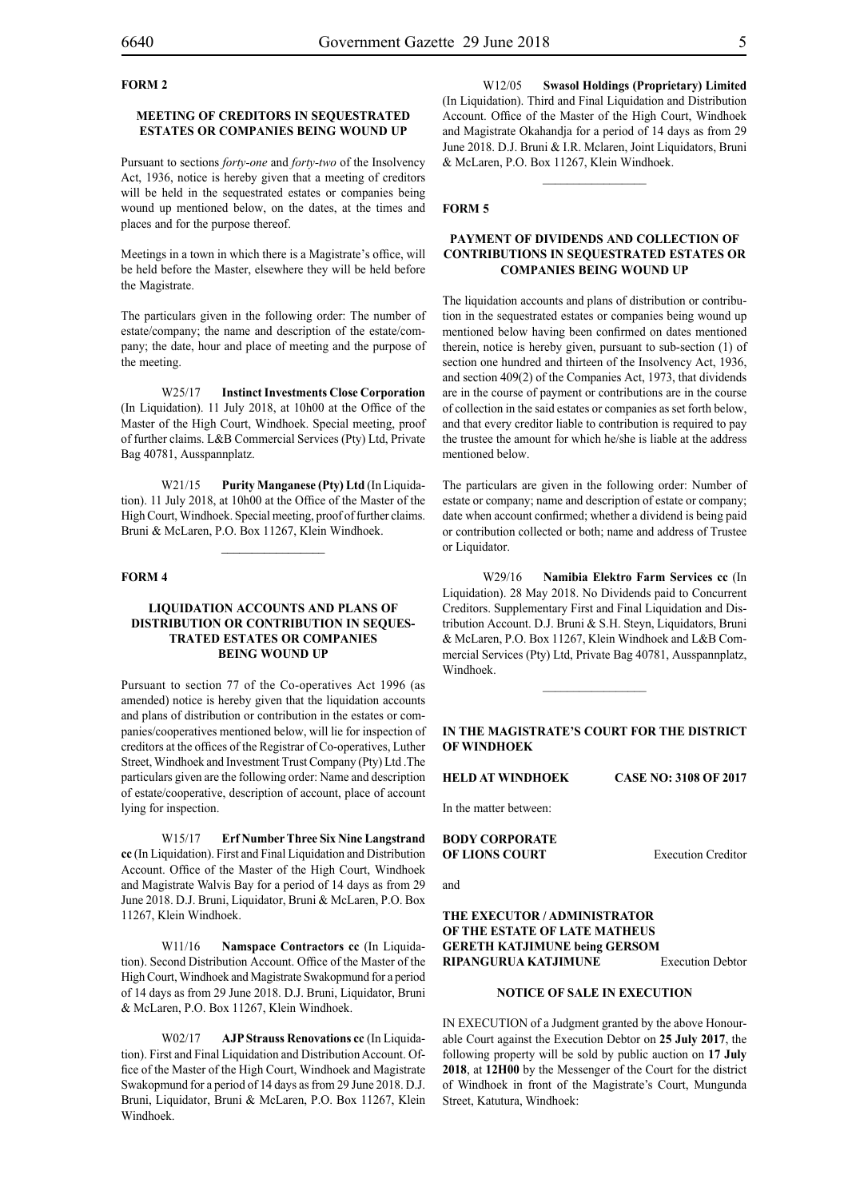#### **FORM 2**

#### **MEETING OF CREDITORS IN SEQUESTRATED ESTATES OR COMPANIES BEING WOUND UP**

Pursuant to sections *forty-one* and *forty-two* of the Insolvency Act, 1936, notice is hereby given that a meeting of creditors will be held in the sequestrated estates or companies being wound up mentioned below, on the dates, at the times and places and for the purpose thereof.

Meetings in a town in which there is a Magistrate's office, will be held before the Master, elsewhere they will be held before the Magistrate.

The particulars given in the following order: The number of estate/company; the name and description of the estate/company; the date, hour and place of meeting and the purpose of the meeting.

W25/17 **Instinct Investments Close Corporation** (In Liquidation). 11 July 2018, at 10h00 at the Office of the Master of the High Court, Windhoek. Special meeting, proof of further claims. L&B Commercial Services (Pty) Ltd, Private Bag 40781, Ausspannplatz.

W21/15 **Purity Manganese (Pty) Ltd** (In Liquidation). 11 July 2018, at 10h00 at the Office of the Master of the High Court, Windhoek. Special meeting, proof of further claims. Bruni & McLaren, P.O. Box 11267, Klein Windhoek.

 $\frac{1}{2}$ 

#### **FORM 4**

#### **LIQUIDATION ACCOUNTS AND PLANS OF DISTRIBUTION OR CONTRIBUTION IN SEQUES-TRATED ESTATES OR COMPANIES BEING WOUND UP**

Pursuant to section 77 of the Co-operatives Act 1996 (as amended) notice is hereby given that the liquidation accounts and plans of distribution or contribution in the estates or companies/cooperatives mentioned below, will lie for inspection of creditors at the offices of the Registrar of Co-operatives, Luther Street, Windhoek and Investment Trust Company (Pty) Ltd .The particulars given are the following order: Name and description of estate/cooperative, description of account, place of account lying for inspection.

W15/17 **Erf Number Three Six Nine Langstrand cc** (In Liquidation). First and Final Liquidation and Distribution Account. Office of the Master of the High Court, Windhoek and Magistrate Walvis Bay for a period of 14 days as from 29 June 2018. D.J. Bruni, Liquidator, Bruni & McLaren, P.O. Box 11267, Klein Windhoek.

W11/16 **Namspace Contractors cc** (In Liquidation). Second Distribution Account. Office of the Master of the High Court, Windhoek and Magistrate Swakopmund for a period of 14 days as from 29 June 2018. D.J. Bruni, Liquidator, Bruni & McLaren, P.O. Box 11267, Klein Windhoek.

W02/17 **AJP Strauss Renovations cc** (In Liquidation). First and Final Liquidation and Distribution Account. Office of the Master of the High Court, Windhoek and Magistrate Swakopmund for a period of 14 days as from 29 June 2018. D.J. Bruni, Liquidator, Bruni & McLaren, P.O. Box 11267, Klein Windhoek.

W12/05 **Swasol Holdings (Proprietary) Limited** (In Liquidation). Third and Final Liquidation and Distribution Account. Office of the Master of the High Court, Windhoek and Magistrate Okahandja for a period of 14 days as from 29 June 2018. D.J. Bruni & I.R. Mclaren, Joint Liquidators, Bruni & McLaren, P.O. Box 11267, Klein Windhoek.

 $\frac{1}{2}$ 

#### **FORM 5**

#### **PAYMENT OF DIVIDENDS AND COLLECTION OF CONTRIBUTIONS IN SEQUESTRATED ESTATES OR COMPANIES BEING WOUND UP**

The liquidation accounts and plans of distribution or contribution in the sequestrated estates or companies being wound up mentioned below having been confirmed on dates mentioned therein, notice is hereby given, pursuant to sub-section (1) of section one hundred and thirteen of the Insolvency Act, 1936, and section 409(2) of the Companies Act, 1973, that dividends are in the course of payment or contributions are in the course of collection in the said estates or companies as set forth below, and that every creditor liable to contribution is required to pay the trustee the amount for which he/she is liable at the address mentioned below.

The particulars are given in the following order: Number of estate or company; name and description of estate or company; date when account confirmed; whether a dividend is being paid or contribution collected or both; name and address of Trustee or Liquidator.

W29/16 **Namibia Elektro Farm Services cc** (In Liquidation). 28 May 2018. No Dividends paid to Concurrent Creditors. Supplementary First and Final Liquidation and Distribution Account. D.J. Bruni & S.H. Steyn, Liquidators, Bruni & McLaren, P.O. Box 11267, Klein Windhoek and L&B Commercial Services (Pty) Ltd, Private Bag 40781, Ausspannplatz, Windhoek.

#### **IN THE MAGISTRATE'S COURT FOR THE DISTRICT OF WINDHOEK**

 $\frac{1}{2}$ 

**HELD AT WINDHOEK CASE NO: 3108 OF 2017**

In the matter between:

**BODY CORPORATE OF LIONS COURT** Execution Creditor

and

#### **THE EXECUTOR / ADMINISTRATOR OF THE ESTATE OF LATE MATHEUS GERETH KATJIMUNE being GERSOM RIPANGURUA KATJIMUNE** Execution Debtor

#### **NOTICE OF SALE IN EXECUTION**

IN EXECUTION of a Judgment granted by the above Honourable Court against the Execution Debtor on **25 July 2017**, the following property will be sold by public auction on **17 July 2018**, at **12H00** by the Messenger of the Court for the district of Windhoek in front of the Magistrate's Court, Mungunda Street, Katutura, Windhoek: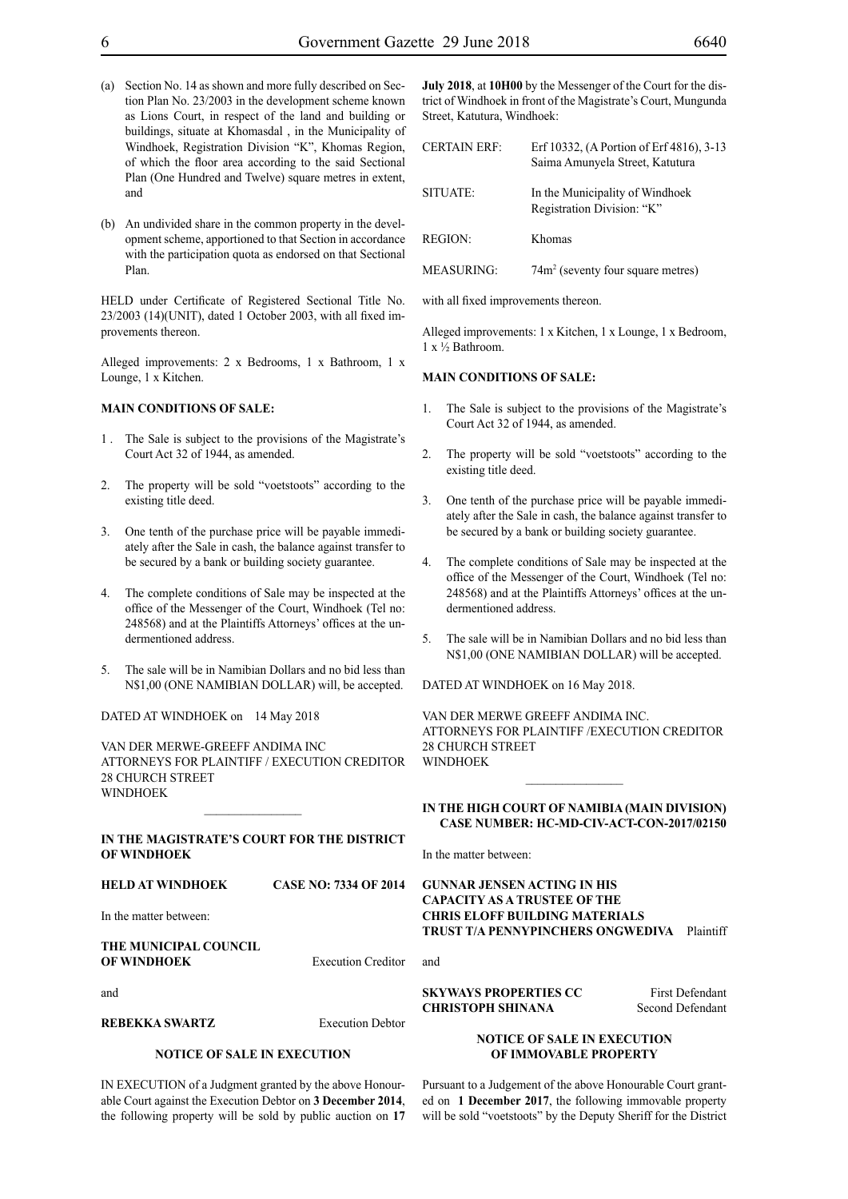- (a) Section No. 14 as shown and more fully described on Section Plan No. 23/2003 in the development scheme known as Lions Court, in respect of the land and building or buildings, situate at Khomasdal , in the Municipality of Windhoek, Registration Division "K", Khomas Region, of which the floor area according to the said Sectional Plan (One Hundred and Twelve) square metres in extent, and
- (b) An undivided share in the common property in the development scheme, apportioned to that Section in accordance with the participation quota as endorsed on that Sectional Plan.

HELD under Certificate of Registered Sectional Title No. 23/2003 (14)(UNIT), dated 1 October 2003, with all fixed improvements thereon.

Alleged improvements: 2 x Bedrooms, 1 x Bathroom, 1 x Lounge, 1 x Kitchen.

#### **MAIN CONDITIONS OF SALE:**

- 1 . The Sale is subject to the provisions of the Magistrate's Court Act 32 of 1944, as amended.
- 2. The property will be sold "voetstoots" according to the existing title deed.
- 3. One tenth of the purchase price will be payable immediately after the Sale in cash, the balance against transfer to be secured by a bank or building society guarantee.
- 4. The complete conditions of Sale may be inspected at the office of the Messenger of the Court, Windhoek (Tel no: 248568) and at the Plaintiffs Attorneys' offices at the undermentioned address.
- 5. The sale will be in Namibian Dollars and no bid less than N\$1,00 (ONE NAMIBIAN DOLLAR) will, be accepted.

DATED AT WINDHOEK on 14 May 2018

VAN DER MERWE-GREEFF ANDIMA INC ATTORNEYS FOR PLAINTIFF / Execution Creditor 28 CHURCH STREET WINDHOEK

#### **IN THE MAGISTRATE'S COURT FOR THE DISTRICT OF WINDHOEK**

 $\frac{1}{2}$ 

**HELD AT WINDHOEK CASE NO: 7334 OF 2014**

In the matter between:

#### **THE MUNICIPAL COUNCIL OF WINDHOEK** Execution Creditor

and

**REBEKKA SWARTZ** Execution Debtor

#### **NOTICE OF SALE IN EXECUTION**

IN EXECUTION of a Judgment granted by the above Honourable Court against the Execution Debtor on **3 December 2014**, the following property will be sold by public auction on **17**  **July 2018**, at **10H00** by the Messenger of the Court for the district of Windhoek in front of the Magistrate's Court, Mungunda Street, Katutura, Windhoek:

| <b>CERTAIN ERF:</b> | Erf 10332, (A Portion of Erf 4816), 3-13<br>Saima Amunyela Street, Katutura |
|---------------------|-----------------------------------------------------------------------------|
| SITUATE:            | In the Municipality of Windhoek<br>Registration Division: "K"               |
| <b>REGION:</b>      | Khomas                                                                      |
| <b>MEASURING:</b>   | 74m <sup>2</sup> (seventy four square metres)                               |

with all fixed improvements thereon.

Alleged improvements: 1 x Kitchen, 1 x Lounge, 1 x Bedroom, 1 x ½ Bathroom.

#### **MAIN CONDITIONS OF SALE:**

- 1. The Sale is subject to the provisions of the Magistrate's Court Act 32 of 1944, as amended.
- The property will be sold "voetstoots" according to the existing title deed.
- 3. One tenth of the purchase price will be payable immediately after the Sale in cash, the balance against transfer to be secured by a bank or building society guarantee.
- 4. The complete conditions of Sale may be inspected at the office of the Messenger of the Court, Windhoek (Tel no: 248568) and at the Plaintiffs Attorneys' offices at the undermentioned address.
- 5. The sale will be in Namibian Dollars and no bid less than N\$1,00 (ONE NAMIBIAN DOLLAR) will be accepted.

DATED AT WINDHOEK on 16 May 2018.

VAN DER MERWE GREEFF ANDIMA INC. ATTORNEYS FOR PLAINTIFF /Execution Creditor 28 CHURCH STREET WINDHOEK

#### **IN THE HIGH COURT OF NAMIBIA (Main Division) Case Number: HC-MD-CIV-ACT-CON-2017/02150**

 $\frac{1}{2}$ 

In the matter between:

**GUNNAR JENSEN ACTING IN HIS CAPACITY AS A TRUSTEE OF THE CHRIS ELOFF BUILDING MATERIALS TRUST T/A PENNYPINCHERS ONGWEDIVA** Plaintiff

and

#### **SKYWAYS PROPERTIES CC** First Defendant **CHRISTOPH SHINANA** Second Defendant

#### **NOTICE OF SALE IN EXECUTION OF IMMOVABLE PROPERTY**

Pursuant to a Judgement of the above Honourable Court granted on **1 December 2017**, the following immovable property will be sold "voetstoots" by the Deputy Sheriff for the District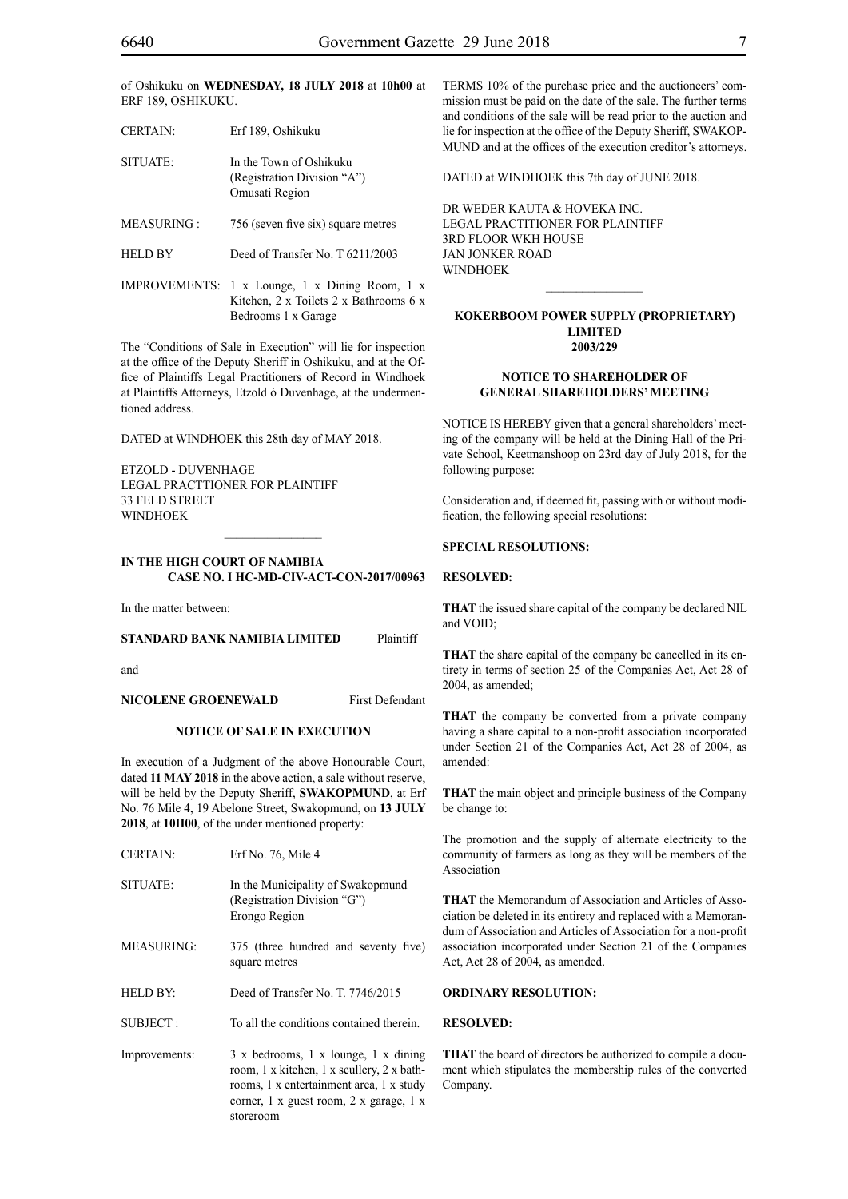| <b>CERTAIN:</b>   | Erf 189, Oshikuku                                                        |
|-------------------|--------------------------------------------------------------------------|
| SITUATE:          | In the Town of Oshikuku<br>(Registration Division "A")<br>Omusati Region |
| <b>MEASURING:</b> | 756 (seven five six) square metres                                       |

HELD BY Deed of Transfer No. T 6211/2003

IMPROVEMENTS: 1 x Lounge, 1 x Dining Room, 1 x Kitchen, 2 x Toilets 2 x Bathrooms 6 x Bedrooms 1 x Garage

The "Conditions of Sale in Execution" will lie for inspection at the office of the Deputy Sheriff in Oshikuku, and at the Office of Plaintiffs Legal Practitioners of Record in Windhoek at Plaintiffs Attorneys, Etzold ó Duvenhage, at the undermentioned address.

DATED at WINDHOEK this 28th day of MAY 2018.

ETZOLD - DUVENHAGE LEGAL PRACTTIONER FOR PLAINTIFF 33 FELD STREET **WINDHOEK** 

#### **IN THE HIGH COURT OF NAMIBIA CASE NO. I HC-MD-CIV-ACT-CON-2017/00963**

In the matter between:

#### **STANDARD BANK NAMIBIA LIMITED** Plaintiff

and

#### **NICOLENE GROENEWALD** First Defendant

#### **NOTICE OF SALE IN EXECUTION**

In execution of a Judgment of the above Honourable Court, dated **11 MAY 2018** in the above action, a sale without reserve, will be held by the Deputy Sheriff, **SWAKOPMUND**, at Erf No. 76 Mile 4, 19 Abelone Street, Swakopmund, on **13 JULY 2018**, at **10H00**, of the under mentioned property:

| <b>CERTAIN:</b>   | Erf No. 76, Mile 4                                                                                                                                                        |
|-------------------|---------------------------------------------------------------------------------------------------------------------------------------------------------------------------|
| SITUATE:          | In the Municipality of Swakopmund<br>(Registration Division "G")<br>Erongo Region                                                                                         |
| <b>MEASURING:</b> | 375 (three hundred and seventy five)<br>square metres                                                                                                                     |
| <b>HELD BY:</b>   | Deed of Transfer No. T. 7746/2015                                                                                                                                         |
| SUBJECT:          | To all the conditions contained therein.                                                                                                                                  |
| Improvements:     | 3 x bedrooms, 1 x lounge, 1 x dining<br>room, 1 x kitchen, 1 x scullery, 2 x bath-<br>rooms, 1 x entertainment area, 1 x study<br>corner, 1 x guest room, 2 x garage, 1 x |

storeroom

TERMS 10% of the purchase price and the auctioneers' commission must be paid on the date of the sale. The further terms and conditions of the sale will be read prior to the auction and lie for inspection at the office of the Deputy Sheriff, SWAKOP-MUND and at the offices of the execution creditor's attorneys.

DATED at WINDHOEK this 7th day of JUNE 2018.

DR WEDER KAUTA & HOVEKA INC. Legal Practitioner for Plaintiff 3RD Floor WKH House Jan Jonker Road WINDHOEK

#### **KOKERBOOM POWER SUPPLY (PROPRIETARY) LIMITED 2003/229**

 $\overline{\phantom{a}}$  ,  $\overline{\phantom{a}}$  ,  $\overline{\phantom{a}}$  ,  $\overline{\phantom{a}}$  ,  $\overline{\phantom{a}}$  ,  $\overline{\phantom{a}}$  ,  $\overline{\phantom{a}}$  ,  $\overline{\phantom{a}}$  ,  $\overline{\phantom{a}}$  ,  $\overline{\phantom{a}}$  ,  $\overline{\phantom{a}}$  ,  $\overline{\phantom{a}}$  ,  $\overline{\phantom{a}}$  ,  $\overline{\phantom{a}}$  ,  $\overline{\phantom{a}}$  ,  $\overline{\phantom{a}}$ 

#### **NOTICE TO SHAREHOLDER OF GENERAL SHAREHOLDERS' MEETING**

NOTICE IS HEREBY given that a general shareholders' meeting of the company will be held at the Dining Hall of the Private School, Keetmanshoop on 23rd day of July 2018, for the following purpose:

Consideration and, if deemed fit, passing with or without modification, the following special resolutions:

#### **SPECIAL RESOLUTIONS:**

#### **RESOLVED:**

**THAT** the issued share capital of the company be declared NIL and VOID;

**THAT** the share capital of the company be cancelled in its entirety in terms of section 25 of the Companies Act, Act 28 of 2004, as amended;

**THAT** the company be converted from a private company having a share capital to a non-profit association incorporated under Section 21 of the Companies Act, Act 28 of 2004, as amended:

**THAT** the main object and principle business of the Company be change to:

The promotion and the supply of alternate electricity to the community of farmers as long as they will be members of the Association

**THAT** the Memorandum of Association and Articles of Association be deleted in its entirety and replaced with a Memorandum of Association and Articles of Association for a non-profit association incorporated under Section 21 of the Companies Act, Act 28 of 2004, as amended.

#### **ORDINARY RESOLUTION:**

#### **RESOLVED:**

**THAT** the board of directors be authorized to compile a document which stipulates the membership rules of the converted Company.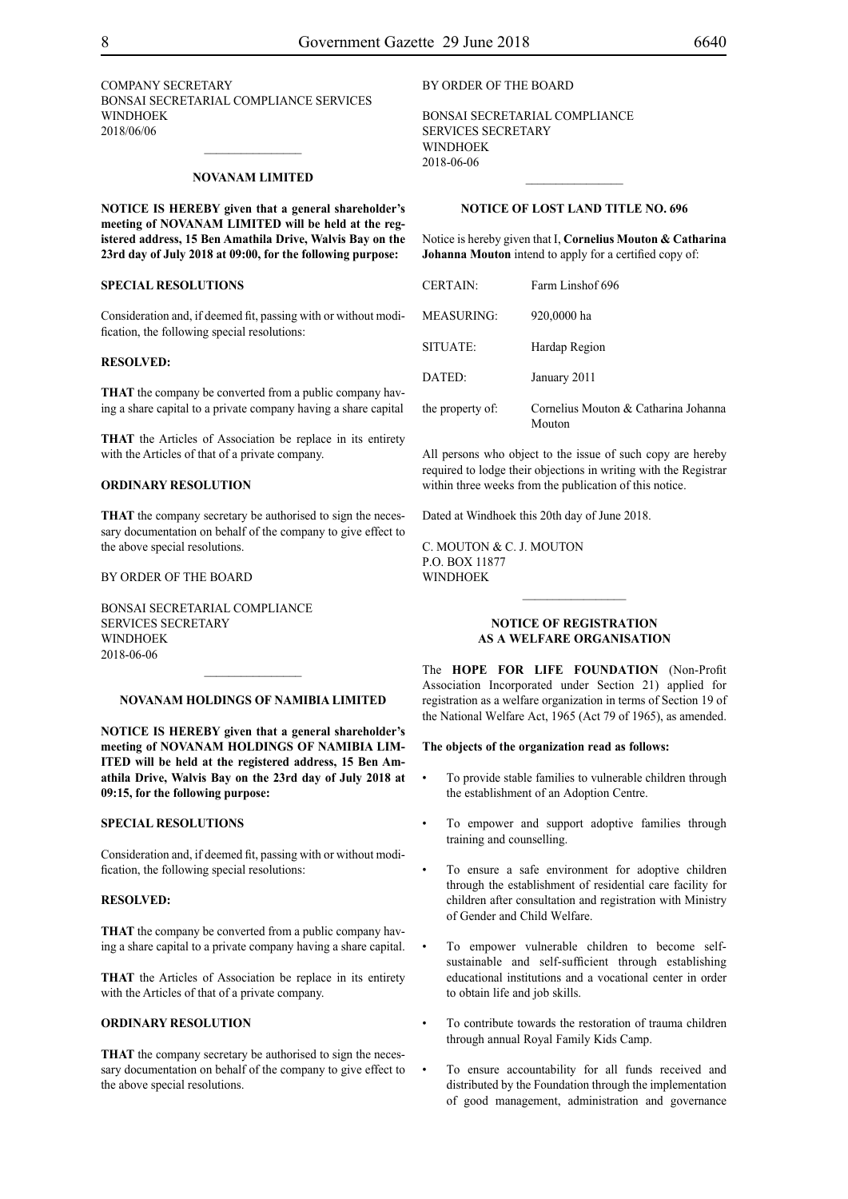COMPANY SECRETARY BONSAI SECRETARIAL COMPLIANCE SERVICES **WINDHOEK** 2018/06/06

#### **NOVANAM LIMITED**

**NOTICE IS HEREBY given that a general shareholder's meeting of NOVANAM LIMITED will be held at the registered address, 15 Ben Amathila Drive, Walvis Bay on the 23rd day of July 2018 at 09:00, for the following purpose:**

#### **SPECIAL RESOLUTIONS**

Consideration and, if deemed fit, passing with or without modification, the following special resolutions:

#### **RESOLVED:**

**THAT** the company be converted from a public company having a share capital to a private company having a share capital

**THAT** the Articles of Association be replace in its entirety with the Articles of that of a private company.

#### **ORDINARY RESOLUTION**

**THAT** the company secretary be authorised to sign the necessary documentation on behalf of the company to give effect to the above special resolutions.

#### BY ORDER OF THE BOARD

BONSAI SECRETARIAL COMPLIANCE SERVICES SECRETARY WINDHOEK 2018-06-06

#### **NOVANAM HOLDINGS OF NAMIBIA LIMITED**

 $\frac{1}{2}$ 

**NOTICE IS HEREBY given that a general shareholder's meeting of NOVANAM HOLDINGS OF NAMIBIA LIM-ITED will be held at the registered address, 15 Ben Amathila Drive, Walvis Bay on the 23rd day of July 2018 at 09:15, for the following purpose:**

#### **SPECIAL RESOLUTIONS**

Consideration and, if deemed fit, passing with or without modification, the following special resolutions:

#### **RESOLVED:**

**THAT** the company be converted from a public company having a share capital to a private company having a share capital.

**THAT** the Articles of Association be replace in its entirety with the Articles of that of a private company.

#### **ORDINARY RESOLUTION**

**THAT** the company secretary be authorised to sign the necessary documentation on behalf of the company to give effect to the above special resolutions.

#### BY ORDER OF THE BOARD

BONSAI SECRETARIAL COMPLIANCE SERVICES SECRETARY WINDHOEK 2018-06-06

#### **NOTICE OF LOST LAND TITLE NO. 696**

 $\frac{1}{2}$ 

Notice is hereby given that I, **Cornelius Mouton & Catharina Johanna Mouton** intend to apply for a certified copy of:

| <b>CERTAIN:</b>   | Farm Linshof 696                               |
|-------------------|------------------------------------------------|
| <b>MEASURING:</b> | 920,0000 ha                                    |
| SITUATE:          | Hardap Region                                  |
| DATED:            | January 2011                                   |
| the property of:  | Cornelius Mouton & Catharina Johanna<br>Mouton |

All persons who object to the issue of such copy are hereby required to lodge their objections in writing with the Registrar within three weeks from the publication of this notice.

Dated at Windhoek this 20th day of June 2018.

C. MOUTON & C. J. MOUTON p.o. box 11877 **WINDHOEK** 

#### **NOTICE OF REGISTRATION AS A WELFARE ORGANISATION**

 $\frac{1}{2}$ 

The **Hope for Life Foundation** (Non-Profit Association Incorporated under Section 21) applied for registration as a welfare organization in terms of Section 19 of the National Welfare Act, 1965 (Act 79 of 1965), as amended.

#### **The objects of the organization read as follows:**

- To provide stable families to vulnerable children through the establishment of an Adoption Centre.
- To empower and support adoptive families through training and counselling.
- To ensure a safe environment for adoptive children through the establishment of residential care facility for children after consultation and registration with Ministry of Gender and Child Welfare.
- To empower vulnerable children to become selfsustainable and self-sufficient through establishing educational institutions and a vocational center in order to obtain life and job skills.
- To contribute towards the restoration of trauma children through annual Royal Family Kids Camp.
- To ensure accountability for all funds received and distributed by the Foundation through the implementation of good management, administration and governance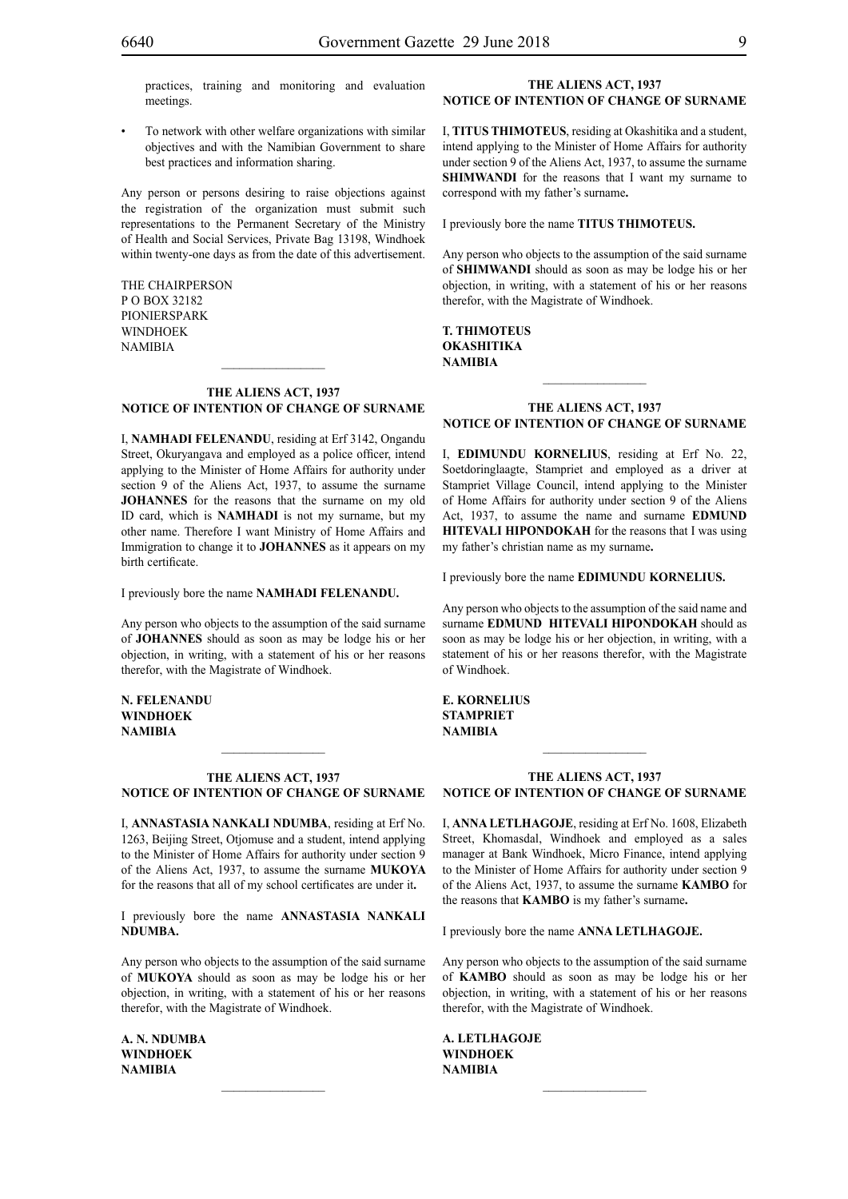practices, training and monitoring and evaluation meetings.

To network with other welfare organizations with similar objectives and with the Namibian Government to share best practices and information sharing.

Any person or persons desiring to raise objections against the registration of the organization must submit such representations to the Permanent Secretary of the Ministry of Health and Social Services, Private Bag 13198, Windhoek within twenty-one days as from the date of this advertisement.

The Chairperson P O Box 32182 Pionierspark **WINDHOEK NAMIBIA** 

#### **THE ALIENS ACT, 1937 NOTICE OF INTENTION OF CHANGE OF SURNAME**

 $\frac{1}{2}$ 

I, **namHadi felenandu**, residing at Erf 3142, Ongandu Street, Okuryangava and employed as a police officer, intend applying to the Minister of Home Affairs for authority under section 9 of the Aliens Act, 1937, to assume the surname **JOHANNES** for the reasons that the surname on my old ID card, which is **NAMHADI** is not my surname, but my other name. Therefore I want Ministry of Home Affairs and Immigration to change it to **JOHANNES** as it appears on my birth certificate.

I previously bore the name **namHadi felenandu.**

Any person who objects to the assumption of the said surname of **JOHANNES** should as soon as may be lodge his or her objection, in writing, with a statement of his or her reasons therefor, with the Magistrate of Windhoek.

**n. felenandu windhoek NAMIBIA**

#### **THE ALIENS ACT, 1937 NOTICE OF INTENTION OF CHANGE OF SURNAME**

 $\frac{1}{2}$ 

I, **annastasia nankali ndumba**, residing at Erf No. 1263, Beijing Street, Otjomuse and a student, intend applying to the Minister of Home Affairs for authority under section 9 of the Aliens Act, 1937, to assume the surname **MUKOYA**  for the reasons that all of my school certificates are under it**.**

I previously bore the name **annastasia nankali ndumba.**

Any person who objects to the assumption of the said surname of **MUKOYA** should as soon as may be lodge his or her objection, in writing, with a statement of his or her reasons therefor, with the Magistrate of Windhoek.

 $\frac{1}{2}$ 

**a. n. ndumba windhoek NAMIBIA**

#### **THE ALIENS ACT, 1937 NOTICE OF INTENTION OF CHANGE OF SURNAME**

I, **titus thimoteus**, residing at Okashitika and a student, intend applying to the Minister of Home Affairs for authority under section 9 of the Aliens Act, 1937, to assume the surname **SHIMWANDI** for the reasons that I want my surname to correspond with my father's surname**.**

I previously bore the name **TITUS THIMOTEUS.** 

Any person who objects to the assumption of the said surname of **shimwandi** should as soon as may be lodge his or her objection, in writing, with a statement of his or her reasons therefor, with the Magistrate of Windhoek.

**t. thimoteus okashitika NAMIBIA**

#### **THE ALIENS ACT, 1937 NOTICE OF INTENTION OF CHANGE OF SURNAME**

 $\frac{1}{2}$ 

I, **edimundu kornelius**, residing at Erf No. 22, Soetdoringlaagte, Stampriet and employed as a driver at Stampriet Village Council, intend applying to the Minister of Home Affairs for authority under section 9 of the Aliens Act, 1937, to assume the name and surname **EDMUND HITEVALI HIPONDOKAH** for the reasons that I was using my father's christian name as my surname**.**

I previously bore the name **edimundu kornelius.**

Any person who objects to the assumption of the said name and surname **EDMUND HITEVALI HIPONDOKAH** should as soon as may be lodge his or her objection, in writing, with a statement of his or her reasons therefor, with the Magistrate of Windhoek.

**e. kornelius stampriet NAMIBIA**

#### **THE ALIENS ACT, 1937 NOTICE OF INTENTION OF CHANGE OF SURNAME**

 $\frac{1}{2}$ 

I, **anna letlhagoje**, residing at Erf No. 1608, Elizabeth Street, Khomasdal, Windhoek and employed as a sales manager at Bank Windhoek, Micro Finance, intend applying to the Minister of Home Affairs for authority under section 9 of the Aliens Act, 1937, to assume the surname **kambo** for the reasons that **KAMBO** is my father's surname**.**

I previously bore the name **ANNA LETLHAGOJE.** 

Any person who objects to the assumption of the said surname of **KAMBO** should as soon as may be lodge his or her objection, in writing, with a statement of his or her reasons therefor, with the Magistrate of Windhoek.

 $\frac{1}{2}$ 

**a. letlhagoje windhoek NAMIBIA**